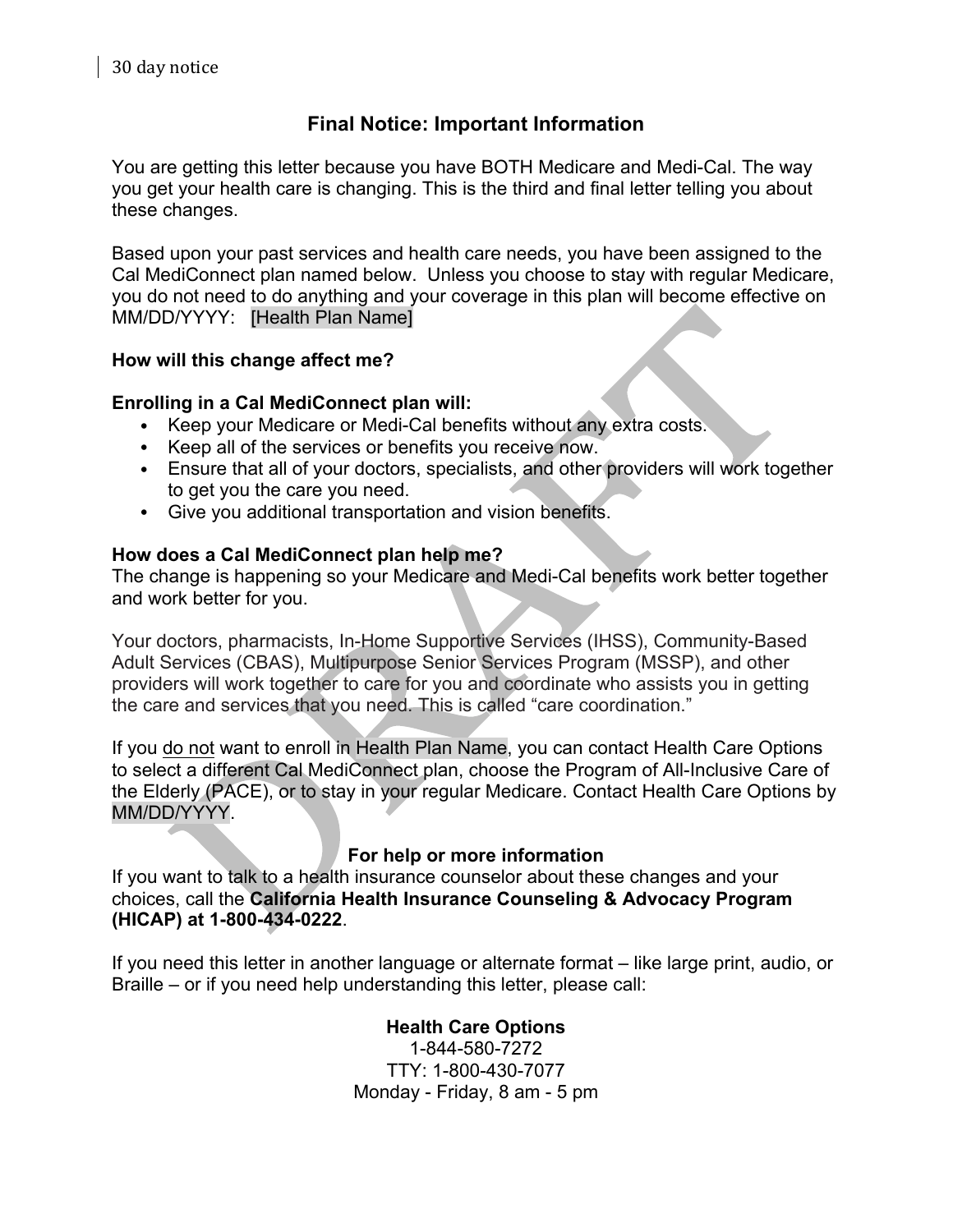# **Final Notice: Important Information**

You are getting this letter because you have BOTH Medicare and Medi-Cal. The way you get your health care is changing. This is the third and final letter telling you about these changes.

Based upon your past services and health care needs, you have been assigned to the Cal MediConnect plan named below. Unless you choose to stay with regular Medicare, you do not need to do anything and your coverage in this plan will become effective on MM/DD/YYYY: [Health Plan Name]

# **How will this change affect me?**

# **Enrolling in a Cal MediConnect plan will:**

- Keep your Medicare or Medi-Cal benefits without any extra costs.
- Keep all of the services or benefits you receive now.
- Ensure that all of your doctors, specialists, and other providers will work together to get you the care you need.
- Give you additional transportation and vision benefits.

### **How does a Cal MediConnect plan help me?**

The change is happening so your Medicare and Medi-Cal benefits work better together and work better for you.

Your doctors, pharmacists, In-Home Supportive Services (IHSS), Community-Based Adult Services (CBAS), Multipurpose Senior Services Program (MSSP), and other providers will work together to care for you and coordinate who assists you in getting the care and services that you need. This is called "care coordination."

If you do not want to enroll in Health Plan Name, you can contact Health Care Options to select a different Cal MediConnect plan, choose the Program of All-Inclusive Care of the Elderly (PACE), or to stay in your regular Medicare. Contact Health Care Options by MM/DD/YYYY.

# **For help or more information**

If you want to talk to a health insurance counselor about these changes and your choices, call the **California Health Insurance Counseling & Advocacy Program (HICAP) at 1-800-434-0222**.

If you need this letter in another language or alternate format – like large print, audio, or Braille – or if you need help understanding this letter, please call:

# **Health Care Options**

1-844-580-7272 TTY: 1-800-430-7077 Monday - Friday, 8 am - 5 pm